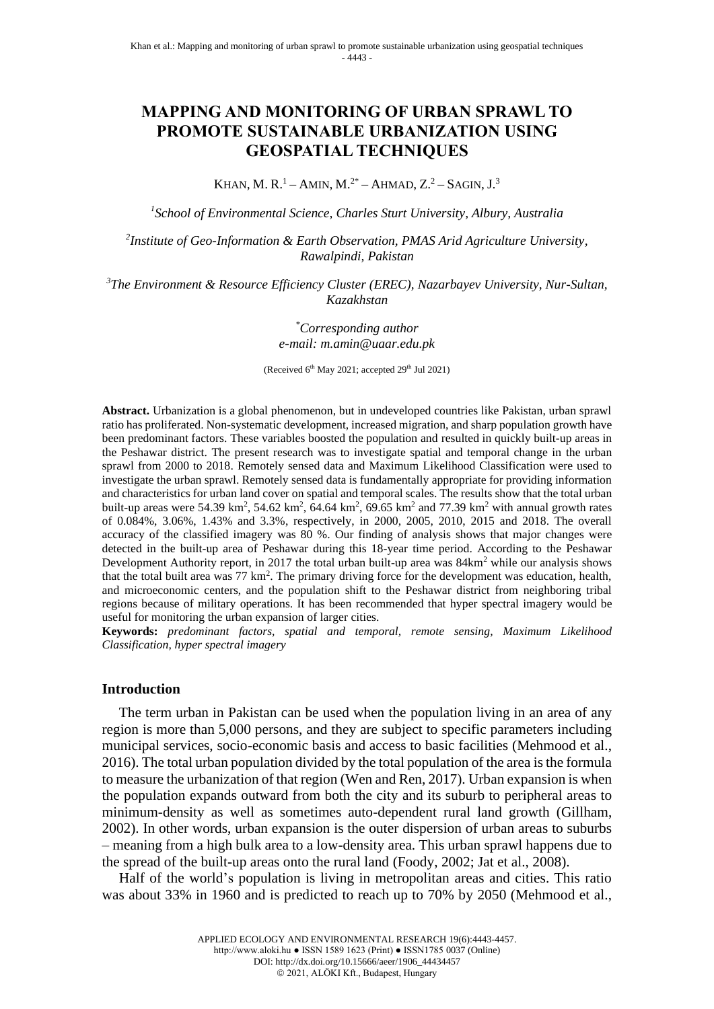# **MAPPING AND MONITORING OF URBAN SPRAWL TO PROMOTE SUSTAINABLE URBANIZATION USING GEOSPATIAL TECHNIQUES**

KHAN, M. R.<sup>1</sup> – AMIN, M.<sup>2\*</sup> – AHMAD, Z.<sup>2</sup> – SAGIN, J.<sup>3</sup>

*1 School of Environmental Science, Charles Sturt University, Albury, Australia*

*2 Institute of Geo-Information & Earth Observation, PMAS Arid Agriculture University, Rawalpindi, Pakistan*

*<sup>3</sup>The Environment & Resource Efficiency Cluster (EREC), Nazarbayev University, Nur-Sultan, Kazakhstan*

> *\*Corresponding author e-mail: m.amin@uaar.edu.pk*

(Received 6<sup>th</sup> May 2021; accepted 29<sup>th</sup> Jul 2021)

**Abstract.** Urbanization is a global phenomenon, but in undeveloped countries like Pakistan, urban sprawl ratio has proliferated. Non-systematic development, increased migration, and sharp population growth have been predominant factors. These variables boosted the population and resulted in quickly built-up areas in the Peshawar district. The present research was to investigate spatial and temporal change in the urban sprawl from 2000 to 2018. Remotely sensed data and Maximum Likelihood Classification were used to investigate the urban sprawl. Remotely sensed data is fundamentally appropriate for providing information and characteristics for urban land cover on spatial and temporal scales. The results show that the total urban built-up areas were 54.39 km<sup>2</sup>, 54.62 km<sup>2</sup>, 64.64 km<sup>2</sup>, 69.65 km<sup>2</sup> and 77.39 km<sup>2</sup> with annual growth rates of 0.084%, 3.06%, 1.43% and 3.3%, respectively, in 2000, 2005, 2010, 2015 and 2018. The overall accuracy of the classified imagery was 80 %. Our finding of analysis shows that major changes were detected in the built-up area of Peshawar during this 18-year time period. According to the Peshawar Development Authority report, in 2017 the total urban built-up area was  $84 \text{km}^2$  while our analysis shows that the total built area was 77 km<sup>2</sup>. The primary driving force for the development was education, health, and microeconomic centers, and the population shift to the Peshawar district from neighboring tribal regions because of military operations. It has been recommended that hyper spectral imagery would be useful for monitoring the urban expansion of larger cities.

**Keywords:** *predominant factors, spatial and temporal, remote sensing, Maximum Likelihood Classification, hyper spectral imagery*

#### **Introduction**

The term urban in Pakistan can be used when the population living in an area of any region is more than 5,000 persons, and they are subject to specific parameters including municipal services, socio-economic basis and access to basic facilities (Mehmood et al., 2016). The total urban population divided by the total population of the area is the formula to measure the urbanization of that region (Wen and Ren, 2017). Urban expansion is when the population expands outward from both the city and its suburb to peripheral areas to minimum-density as well as sometimes auto-dependent rural land growth (Gillham, 2002). In other words, urban expansion is the outer dispersion of urban areas to suburbs – meaning from a high bulk area to a low-density area. This urban sprawl happens due to the spread of the built-up areas onto the rural land (Foody, 2002; Jat et al., 2008).

Half of the world's population is living in metropolitan areas and cities. This ratio was about 33% in 1960 and is predicted to reach up to 70% by 2050 (Mehmood et al.,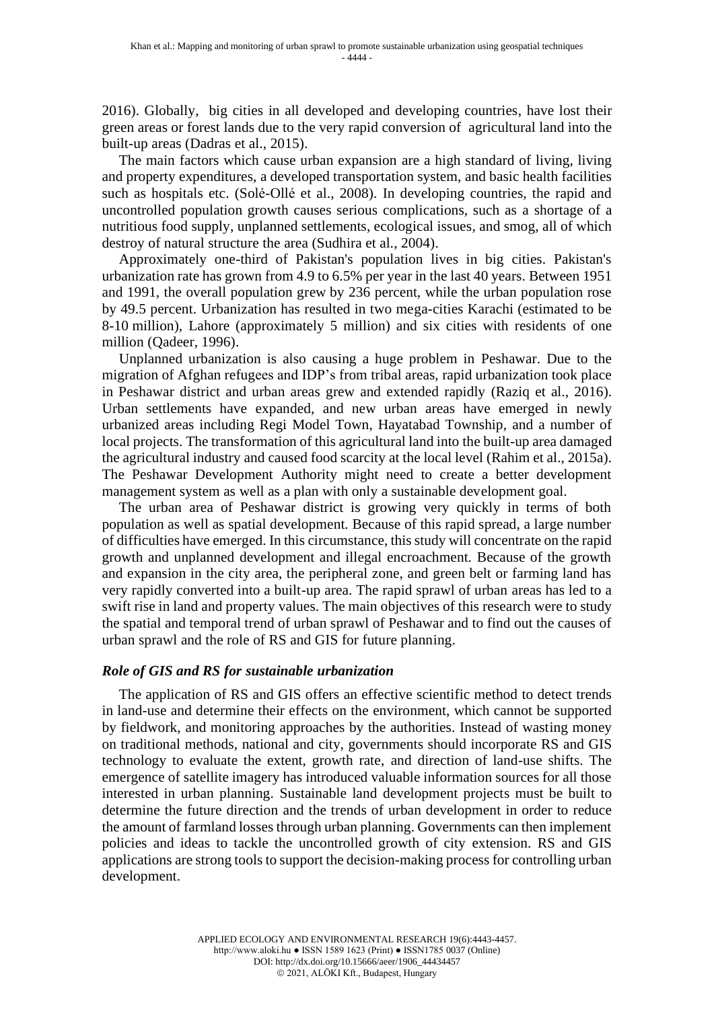2016). Globally, big cities in all developed and developing countries, have lost their green areas or forest lands due to the very rapid conversion of agricultural land into the built-up areas (Dadras et al., 2015).

The main factors which cause urban expansion are a high standard of living, living and property expenditures, a developed transportation system, and basic health facilities such as hospitals etc. (Solé-Ollé et al., 2008). In developing countries, the rapid and uncontrolled population growth causes serious complications, such as a shortage of a nutritious food supply, unplanned settlements, ecological issues, and smog, all of which destroy of natural structure the area (Sudhira et al., 2004).

Approximately one-third of Pakistan's population lives in big cities. Pakistan's urbanization rate has grown from 4.9 to 6.5% per year in the last 40 years. Between 1951 and 1991, the overall population grew by 236 percent, while the urban population rose by 49.5 percent. Urbanization has resulted in two mega-cities Karachi (estimated to be 8-10 million), Lahore (approximately 5 million) and six cities with residents of one million (Qadeer, 1996).

Unplanned urbanization is also causing a huge problem in Peshawar. Due to the migration of Afghan refugees and IDP's from tribal areas, rapid urbanization took place in Peshawar district and urban areas grew and extended rapidly (Raziq et al., 2016). Urban settlements have expanded, and new urban areas have emerged in newly urbanized areas including Regi Model Town, Hayatabad Township, and a number of local projects. The transformation of this agricultural land into the built-up area damaged the agricultural industry and caused food scarcity at the local level (Rahim et al., 2015a). The Peshawar Development Authority might need to create a better development management system as well as a plan with only a sustainable development goal.

The urban area of Peshawar district is growing very quickly in terms of both population as well as spatial development. Because of this rapid spread, a large number of difficulties have emerged. In this circumstance, this study will concentrate on the rapid growth and unplanned development and illegal encroachment. Because of the growth and expansion in the city area, the peripheral zone, and green belt or farming land has very rapidly converted into a built-up area. The rapid sprawl of urban areas has led to a swift rise in land and property values. The main objectives of this research were to study the spatial and temporal trend of urban sprawl of Peshawar and to find out the causes of urban sprawl and the role of RS and GIS for future planning.

### *Role of GIS and RS for sustainable urbanization*

The application of RS and GIS offers an effective scientific method to detect trends in land-use and determine their effects on the environment, which cannot be supported by fieldwork, and monitoring approaches by the authorities. Instead of wasting money on traditional methods, national and city, governments should incorporate RS and GIS technology to evaluate the extent, growth rate, and direction of land-use shifts. The emergence of satellite imagery has introduced valuable information sources for all those interested in urban planning. Sustainable land development projects must be built to determine the future direction and the trends of urban development in order to reduce the amount of farmland losses through urban planning. Governments can then implement policies and ideas to tackle the uncontrolled growth of city extension. RS and GIS applications are strong tools to support the decision-making process for controlling urban development.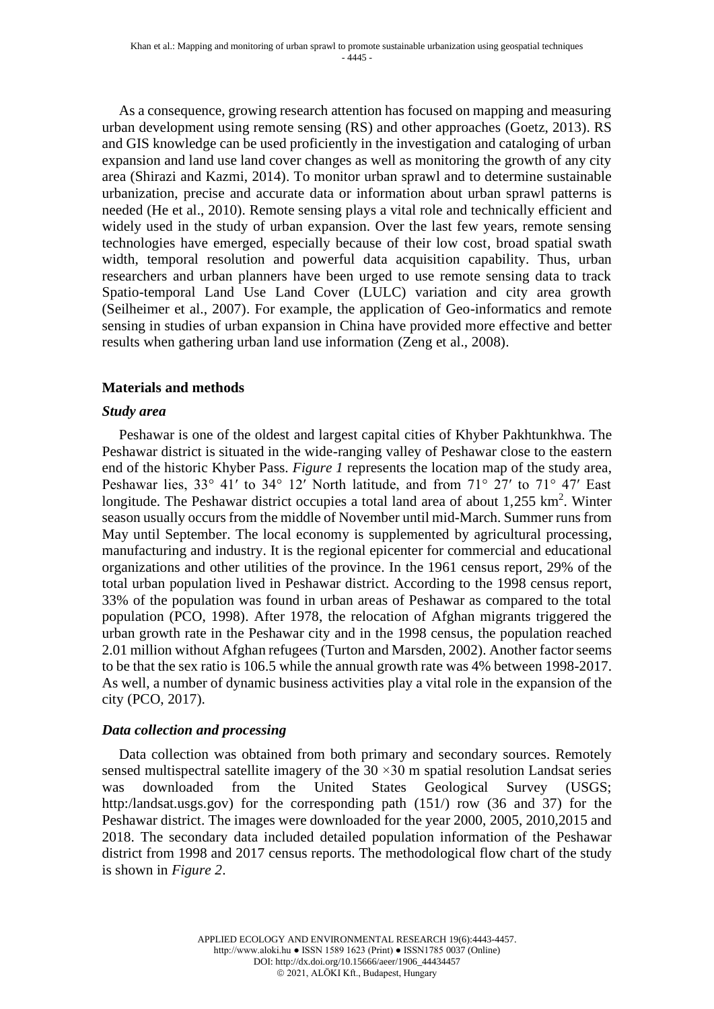As a consequence, growing research attention has focused on mapping and measuring urban development using remote sensing (RS) and other approaches (Goetz, 2013). RS and GIS knowledge can be used proficiently in the investigation and cataloging of urban expansion and land use land cover changes as well as monitoring the growth of any city area (Shirazi and Kazmi, 2014). To monitor urban sprawl and to determine sustainable urbanization, precise and accurate data or information about urban sprawl patterns is needed (He et al., 2010). Remote sensing plays a vital role and technically efficient and widely used in the study of urban expansion. Over the last few years, remote sensing technologies have emerged, especially because of their low cost, broad spatial swath width, temporal resolution and powerful data acquisition capability. Thus, urban researchers and urban planners have been urged to use remote sensing data to track Spatio-temporal Land Use Land Cover (LULC) variation and city area growth (Seilheimer et al., 2007). For example, the application of Geo-informatics and remote sensing in studies of urban expansion in China have provided more effective and better results when gathering urban land use information (Zeng et al., 2008).

## **Materials and methods**

### *Study area*

Peshawar is one of the oldest and largest capital cities of Khyber Pakhtunkhwa. The Peshawar district is situated in the wide-ranging valley of Peshawar close to the eastern end of the historic Khyber Pass. *Figure 1* represents the location map of the study area, Peshawar lies, 33° 41′ to 34° 12′ North latitude, and from 71° 27′ to 71° 47′ East longitude. The Peshawar district occupies a total land area of about  $1,255$  km<sup>2</sup>. Winter season usually occurs from the middle of November until mid-March. Summer runs from May until September. The local economy is supplemented by agricultural processing, manufacturing and industry. It is the regional epicenter for commercial and educational organizations and other utilities of the province. In the 1961 census report, 29% of the total urban population lived in Peshawar district. According to the 1998 census report, 33% of the population was found in urban areas of Peshawar as compared to the total population (PCO, 1998). After 1978, the relocation of Afghan migrants triggered the urban growth rate in the Peshawar city and in the 1998 census, the population reached 2.01 million without Afghan refugees (Turton and Marsden, 2002). Another factor seems to be that the sex ratio is 106.5 while the annual growth rate was 4% between 1998-2017. As well, a number of dynamic business activities play a vital role in the expansion of the city (PCO, 2017).

### *Data collection and processing*

Data collection was obtained from both primary and secondary sources. Remotely sensed multispectral satellite imagery of the  $30 \times 30$  m spatial resolution Landsat series was downloaded from the United States Geological Survey (USGS; http:/landsat.usgs.gov) for the corresponding path (151/) row (36 and 37) for the Peshawar district. The images were downloaded for the year 2000, 2005, 2010,2015 and 2018. The secondary data included detailed population information of the Peshawar district from 1998 and 2017 census reports. The methodological flow chart of the study is shown in *Figure 2*.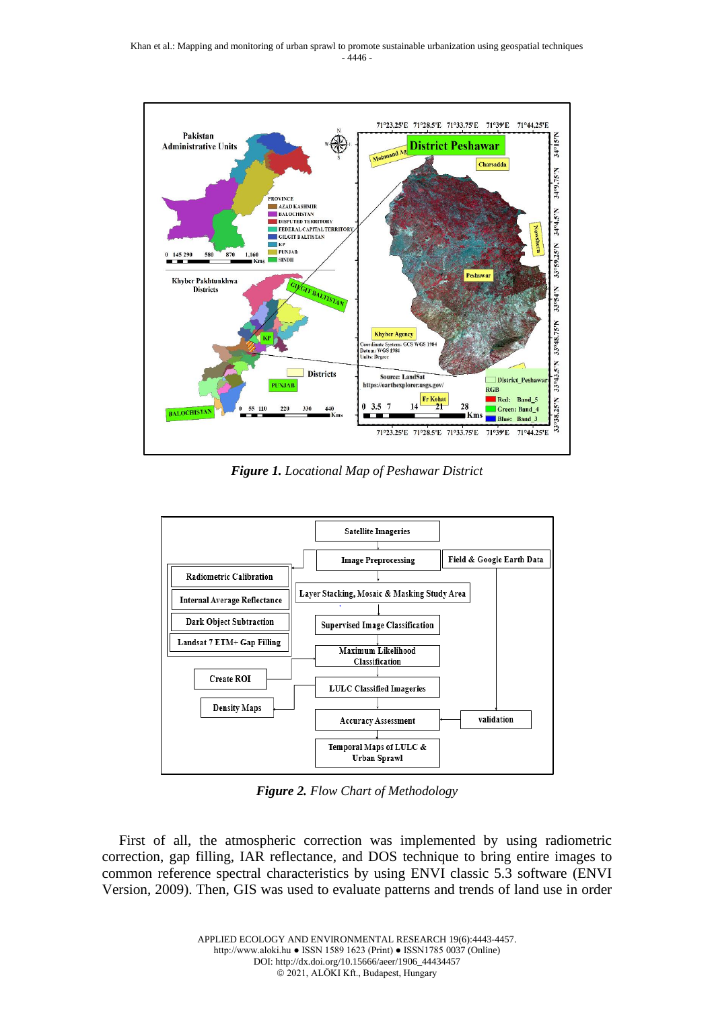

*Figure 1. Locational Map of Peshawar District*



*Figure 2. Flow Chart of Methodology*

First of all, the atmospheric correction was implemented by using radiometric correction, gap filling, IAR reflectance, and DOS technique to bring entire images to common reference spectral characteristics by using ENVI classic 5.3 software (ENVI Version, 2009). Then, GIS was used to evaluate patterns and trends of land use in order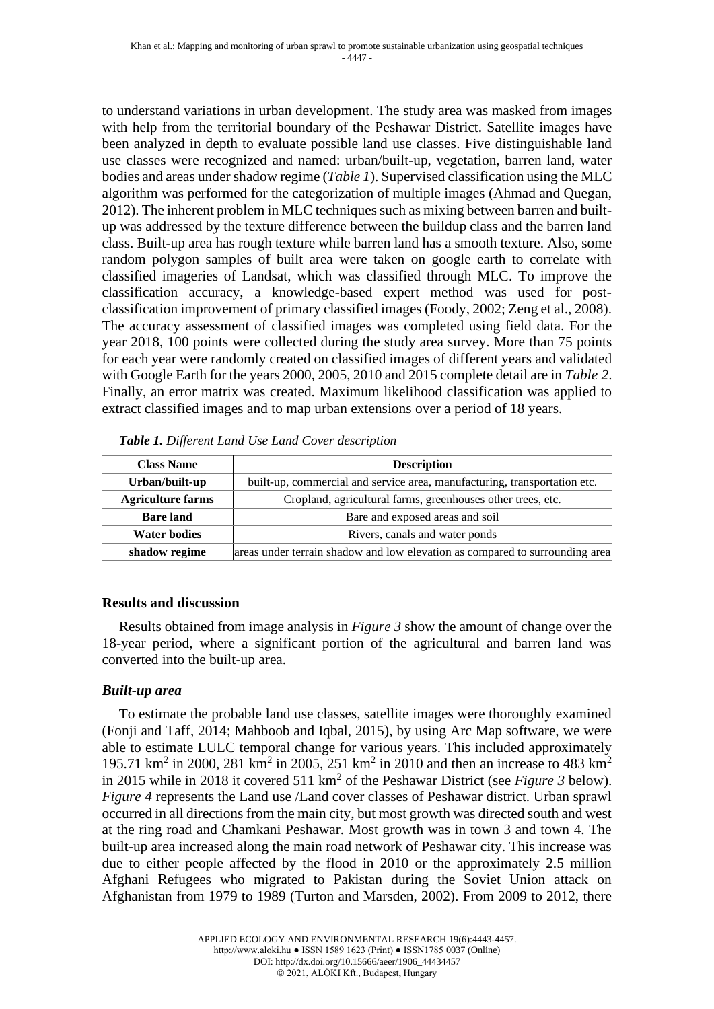to understand variations in urban development. The study area was masked from images with help from the territorial boundary of the Peshawar District. Satellite images have been analyzed in depth to evaluate possible land use classes. Five distinguishable land use classes were recognized and named: urban/built-up, vegetation, barren land, water bodies and areas under shadow regime (*Table 1*). Supervised classification using the MLC algorithm was performed for the categorization of multiple images (Ahmad and Quegan, 2012). The inherent problem in MLC techniques such as mixing between barren and builtup was addressed by the texture difference between the buildup class and the barren land class. Built-up area has rough texture while barren land has a smooth texture. Also, some random polygon samples of built area were taken on google earth to correlate with classified imageries of Landsat, which was classified through MLC. To improve the classification accuracy, a knowledge-based expert method was used for postclassification improvement of primary classified images (Foody, 2002; Zeng et al., 2008). The accuracy assessment of classified images was completed using field data. For the year 2018, 100 points were collected during the study area survey. More than 75 points for each year were randomly created on classified images of different years and validated with Google Earth for the years 2000, 2005, 2010 and 2015 complete detail are in *Table 2*. Finally, an error matrix was created. Maximum likelihood classification was applied to extract classified images and to map urban extensions over a period of 18 years.

| <b>Class Name</b>        | <b>Description</b>                                                           |  |  |  |  |  |  |
|--------------------------|------------------------------------------------------------------------------|--|--|--|--|--|--|
| Urban/built-up           | built-up, commercial and service area, manufacturing, transportation etc.    |  |  |  |  |  |  |
| <b>Agriculture farms</b> | Cropland, agricultural farms, greenhouses other trees, etc.                  |  |  |  |  |  |  |
| <b>Bare land</b>         | Bare and exposed areas and soil                                              |  |  |  |  |  |  |
| <b>Water bodies</b>      | Rivers, canals and water ponds                                               |  |  |  |  |  |  |
| shadow regime            | areas under terrain shadow and low elevation as compared to surrounding area |  |  |  |  |  |  |

|  |  |  | Table 1. Different Land Use Land Cover description |
|--|--|--|----------------------------------------------------|
|  |  |  |                                                    |

### **Results and discussion**

Results obtained from image analysis in *Figure 3* show the amount of change over the 18-year period, where a significant portion of the agricultural and barren land was converted into the built-up area.

### *Built-up area*

To estimate the probable land use classes, satellite images were thoroughly examined (Fonji and Taff, 2014; Mahboob and Iqbal, 2015), by using Arc Map software, we were able to estimate LULC temporal change for various years. This included approximately 195.71 km<sup>2</sup> in 2000, 281 km<sup>2</sup> in 2005, 251 km<sup>2</sup> in 2010 and then an increase to 483 km<sup>2</sup> in 2015 while in 2018 it covered 511 km<sup>2</sup> of the Peshawar District (see *Figure 3* below). *Figure 4* represents the Land use /Land cover classes of Peshawar district. Urban sprawl occurred in all directions from the main city, but most growth was directed south and west at the ring road and Chamkani Peshawar. Most growth was in town 3 and town 4. The built-up area increased along the main road network of Peshawar city. This increase was due to either people affected by the flood in 2010 or the approximately 2.5 million Afghani Refugees who migrated to Pakistan during the Soviet Union attack on Afghanistan from 1979 to 1989 (Turton and Marsden, 2002). From 2009 to 2012, there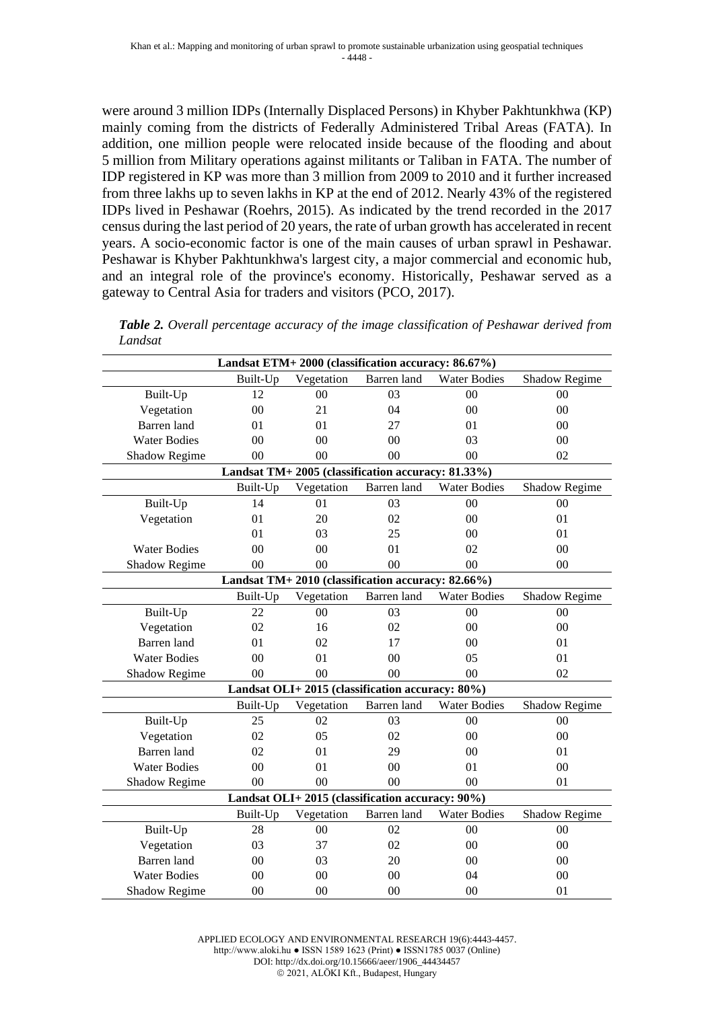were around 3 million IDPs (Internally Displaced Persons) in Khyber Pakhtunkhwa (KP) mainly coming from the districts of Federally Administered Tribal Areas (FATA). In addition, one million people were relocated inside because of the flooding and about 5 million from Military operations against militants or Taliban in FATA. The number of IDP registered in KP was more than 3 million from 2009 to 2010 and it further increased from three lakhs up to seven lakhs in KP at the end of 2012. Nearly 43% of the registered IDPs lived in Peshawar (Roehrs, 2015). As indicated by the trend recorded in the 2017 census during the last period of 20 years, the rate of urban growth has accelerated in recent years. A socio-economic factor is one of the main causes of urban sprawl in Peshawar. Peshawar is Khyber Pakhtunkhwa's largest city, a major commercial and economic hub, and an integral role of the province's economy. Historically, Peshawar served as a gateway to Central Asia for traders and visitors (PCO, 2017).

| Landsat ETM+2000 (classification accuracy: 86.67%)                            |                      |                           |                |                     |                |  |  |  |  |
|-------------------------------------------------------------------------------|----------------------|---------------------------|----------------|---------------------|----------------|--|--|--|--|
|                                                                               | Built-Up             | Vegetation                | Barren land    | <b>Water Bodies</b> | Shadow Regime  |  |  |  |  |
| Built-Up                                                                      | 12                   | 00                        | 03             | 00                  | 00             |  |  |  |  |
| Vegetation                                                                    | 00                   | 21                        | 04             | $00\,$              | 00             |  |  |  |  |
| Barren land                                                                   | 01                   | 01                        | 27             | 01                  | 0 <sub>0</sub> |  |  |  |  |
| <b>Water Bodies</b>                                                           | 00                   | 00                        | 00             | 03                  | 00             |  |  |  |  |
| Shadow Regime                                                                 | 0 <sup>0</sup>       | $00\,$                    | 0 <sup>0</sup> | 00                  | 02             |  |  |  |  |
| Landsat TM+ 2005 (classification accuracy: 81.33%)                            |                      |                           |                |                     |                |  |  |  |  |
| Built-Up<br>Vegetation<br>Barren land<br><b>Water Bodies</b><br>Shadow Regime |                      |                           |                |                     |                |  |  |  |  |
| Built-Up                                                                      | 14                   | 01                        | 03             | $00\,$              | 00             |  |  |  |  |
| Vegetation                                                                    | 01                   | 20                        | 02             | 00                  | 01             |  |  |  |  |
|                                                                               | 01                   | 03                        | 25             | $00\,$              | 01             |  |  |  |  |
| <b>Water Bodies</b>                                                           | 00                   | 00                        | 01             | 02                  | 0 <sup>0</sup> |  |  |  |  |
| Shadow Regime                                                                 | 00                   | 00                        | 00             | 00                  | 00             |  |  |  |  |
| Landsat TM+ 2010 (classification accuracy: 82.66%)                            |                      |                           |                |                     |                |  |  |  |  |
|                                                                               | Built-Up             | Vegetation                | Barren land    | <b>Water Bodies</b> | Shadow Regime  |  |  |  |  |
| Built-Up                                                                      | 22                   | 00                        | 03             | 00                  | 00             |  |  |  |  |
| Vegetation                                                                    | 02                   | 16                        | 02             | $00\,$              | 00             |  |  |  |  |
| Barren land                                                                   | 01                   | 02                        | 17             | 00                  | 01             |  |  |  |  |
| <b>Water Bodies</b>                                                           | 00                   | 01                        | 00             | 05                  | 01             |  |  |  |  |
| Shadow Regime                                                                 | 00<br>0 <sub>0</sub> |                           | 0 <sup>0</sup> | 0 <sub>0</sub>      | 02             |  |  |  |  |
| Landsat OLI+2015 (classification accuracy: 80%)                               |                      |                           |                |                     |                |  |  |  |  |
|                                                                               | Built-Up             | Vegetation<br>Barren land |                | <b>Water Bodies</b> | Shadow Regime  |  |  |  |  |
| Built-Up                                                                      | 25                   | 02                        | 03             | 0 <sub>0</sub>      | 0 <sub>0</sub> |  |  |  |  |
| Vegetation                                                                    | 02                   | 05                        | 02             | 00                  | 00             |  |  |  |  |
| Barren land                                                                   | 02                   | 01                        | 29             | 00                  | 01             |  |  |  |  |
| <b>Water Bodies</b>                                                           | 00                   | 01                        | 00             | 01                  | 00             |  |  |  |  |
| Shadow Regime                                                                 | 00                   | 00                        | 00             | 00                  | 01             |  |  |  |  |
| Landsat OLI+2015 (classification accuracy: 90%)                               |                      |                           |                |                     |                |  |  |  |  |
| Built-Up<br>Vegetation<br>Barren land<br><b>Water Bodies</b><br>Shadow Regime |                      |                           |                |                     |                |  |  |  |  |
| Built-Up                                                                      | 28                   | 00                        | 02             | $00\,$              | $00\,$         |  |  |  |  |
| Vegetation                                                                    | 03                   | 37                        | 02             | 00                  | 00             |  |  |  |  |
| Barren land                                                                   | 00                   | 03                        | 20             | 00                  | 00             |  |  |  |  |
| <b>Water Bodies</b>                                                           | 00                   | 00                        | 00             | 04                  | 00             |  |  |  |  |
| <b>Shadow Regime</b>                                                          | 00                   | 00                        | 00             | 00                  | 01             |  |  |  |  |

*Table 2. Overall percentage accuracy of the image classification of Peshawar derived from Landsat*

APPLIED ECOLOGY AND ENVIRONMENTAL RESEARCH 19(6):4443-4457. http://www.aloki.hu ● ISSN 1589 1623 (Print) ● ISSN1785 0037 (Online) DOI: http://dx.doi.org/10.15666/aeer/1906\_44434457 © 2021, ALÖKI Kft., Budapest, Hungary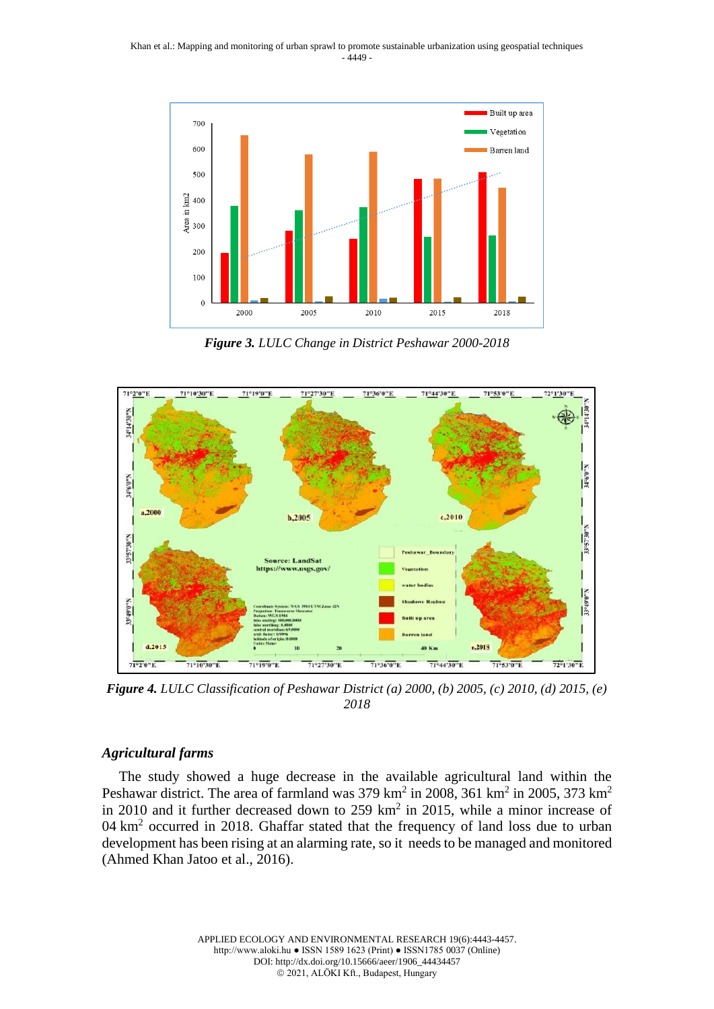

*Figure 3. LULC Change in District Peshawar 2000-2018*



*Figure 4. LULC Classification of Peshawar District (a) 2000, (b) 2005, (c) 2010, (d) 2015, (e) 2018*

### *Agricultural farms*

The study showed a huge decrease in the available agricultural land within the Peshawar district. The area of farmland was 379 km<sup>2</sup> in 2008, 361 km<sup>2</sup> in 2005, 373 km<sup>2</sup> in 2010 and it further decreased down to  $259 \text{ km}^2$  in 2015, while a minor increase of 04 km<sup>2</sup> occurred in 2018. Ghaffar stated that the frequency of land loss due to urban development has been rising at an alarming rate, so it needs to be managed and monitored (Ahmed Khan Jatoo et al., 2016).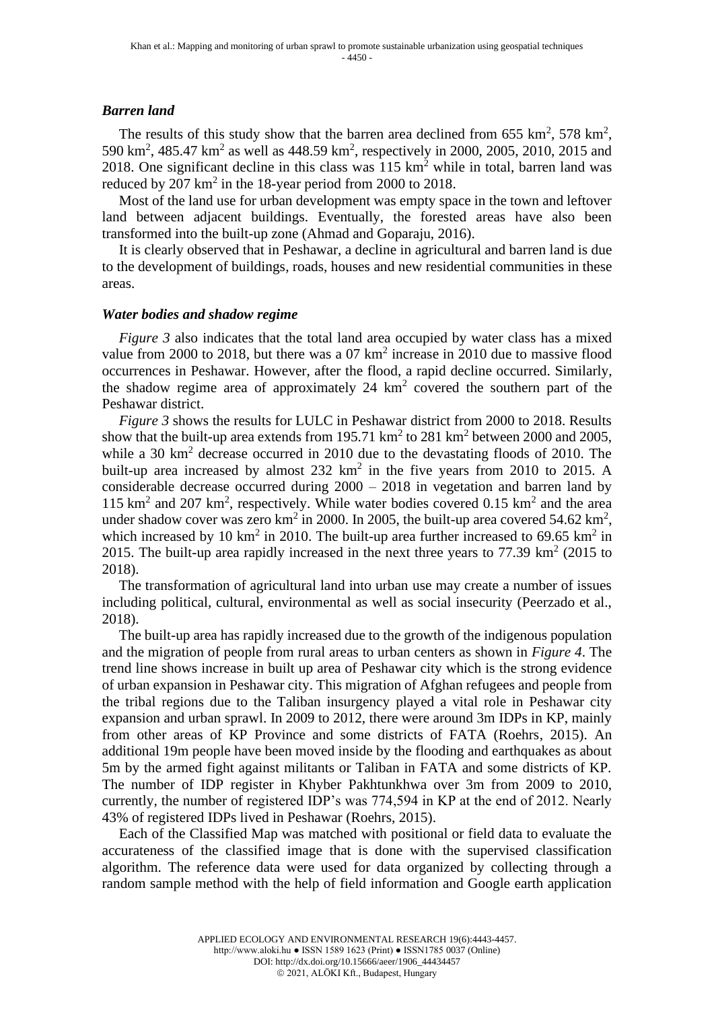#### *Barren land*

The results of this study show that the barren area declined from 655 km<sup>2</sup>, 578 km<sup>2</sup>, 590 km<sup>2</sup>, 485.47 km<sup>2</sup> as well as 448.59 km<sup>2</sup>, respectively in 2000, 2005, 2010, 2015 and 2018. One significant decline in this class was  $115 \text{ km}^2$  while in total, barren land was reduced by  $207 \text{ km}^2$  in the 18-year period from  $2000$  to  $2018$ .

Most of the land use for urban development was empty space in the town and leftover land between adjacent buildings. Eventually, the forested areas have also been transformed into the built-up zone (Ahmad and Goparaju, 2016).

It is clearly observed that in Peshawar, a decline in agricultural and barren land is due to the development of buildings, roads, houses and new residential communities in these areas.

#### *Water bodies and shadow regime*

*Figure* 3 also indicates that the total land area occupied by water class has a mixed value from 2000 to 2018, but there was a  $07 \text{ km}^2$  increase in 2010 due to massive flood occurrences in Peshawar. However, after the flood, a rapid decline occurred. Similarly, the shadow regime area of approximately  $24 \text{ km}^2$  covered the southern part of the Peshawar district.

*Figure 3* shows the results for LULC in Peshawar district from 2000 to 2018. Results show that the built-up area extends from 195.71  $\text{km}^2$  to 281  $\text{km}^2$  between 2000 and 2005, while a 30 km<sup>2</sup> decrease occurred in 2010 due to the devastating floods of 2010. The built-up area increased by almost  $232 \text{ km}^2$  in the five years from 2010 to 2015. A considerable decrease occurred during 2000 – 2018 in vegetation and barren land by 115 km<sup>2</sup> and 207 km<sup>2</sup>, respectively. While water bodies covered 0.15 km<sup>2</sup> and the area under shadow cover was zero  $km^2$  in 2000. In 2005, the built-up area covered 54.62  $km^2$ , which increased by 10 km<sup>2</sup> in 2010. The built-up area further increased to 69.65 km<sup>2</sup> in 2015. The built-up area rapidly increased in the next three years to  $77.39 \text{ km}^2$  (2015 to 2018).

The transformation of agricultural land into urban use may create a number of issues including political, cultural, environmental as well as social insecurity (Peerzado et al., 2018).

The built-up area has rapidly increased due to the growth of the indigenous population and the migration of people from rural areas to urban centers as shown in *Figure 4*. The trend line shows increase in built up area of Peshawar city which is the strong evidence of urban expansion in Peshawar city. This migration of Afghan refugees and people from the tribal regions due to the Taliban insurgency played a vital role in Peshawar city expansion and urban sprawl. In 2009 to 2012, there were around 3m IDPs in KP, mainly from other areas of KP Province and some districts of FATA (Roehrs, 2015). An additional 19m people have been moved inside by the flooding and earthquakes as about 5m by the armed fight against militants or Taliban in FATA and some districts of KP. The number of IDP register in Khyber Pakhtunkhwa over 3m from 2009 to 2010, currently, the number of registered IDP's was 774,594 in KP at the end of 2012. Nearly 43% of registered IDPs lived in Peshawar (Roehrs, 2015).

Each of the Classified Map was matched with positional or field data to evaluate the accurateness of the classified image that is done with the supervised classification algorithm. The reference data were used for data organized by collecting through a random sample method with the help of field information and Google earth application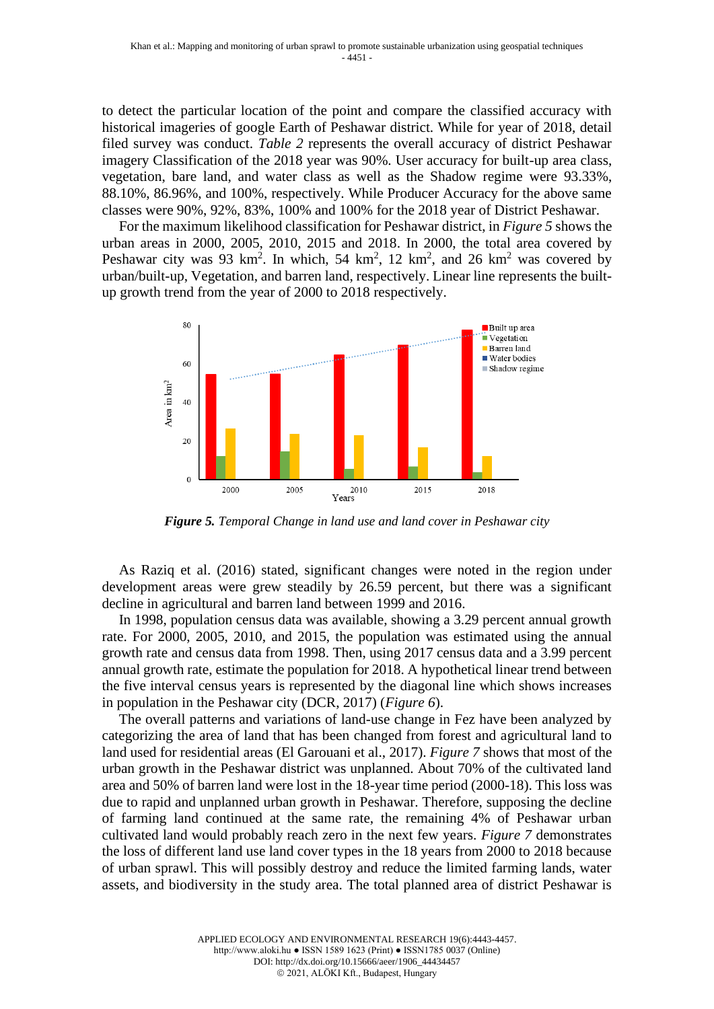to detect the particular location of the point and compare the classified accuracy with historical imageries of google Earth of Peshawar district. While for year of 2018, detail filed survey was conduct. *Table 2* represents the overall accuracy of district Peshawar imagery Classification of the 2018 year was 90%. User accuracy for built-up area class, vegetation, bare land, and water class as well as the Shadow regime were 93.33%, 88.10%, 86.96%, and 100%, respectively. While Producer Accuracy for the above same classes were 90%, 92%, 83%, 100% and 100% for the 2018 year of District Peshawar.

For the maximum likelihood classification for Peshawar district, in *Figure 5* shows the urban areas in 2000, 2005, 2010, 2015 and 2018. In 2000, the total area covered by Peshawar city was 93 km<sup>2</sup>. In which, 54 km<sup>2</sup>, 12 km<sup>2</sup>, and 26 km<sup>2</sup> was covered by urban/built-up, Vegetation, and barren land, respectively. Linear line represents the builtup growth trend from the year of 2000 to 2018 respectively.



*Figure 5. Temporal Change in land use and land cover in Peshawar city*

As Raziq et al. (2016) stated, significant changes were noted in the region under development areas were grew steadily by 26.59 percent, but there was a significant decline in agricultural and barren land between 1999 and 2016.

In 1998, population census data was available, showing a 3.29 percent annual growth rate. For 2000, 2005, 2010, and 2015, the population was estimated using the annual growth rate and census data from 1998. Then, using 2017 census data and a 3.99 percent annual growth rate, estimate the population for 2018. A hypothetical linear trend between the five interval census years is represented by the diagonal line which shows increases in population in the Peshawar city (DCR, 2017) (*Figure 6*).

The overall patterns and variations of land-use change in Fez have been analyzed by categorizing the area of land that has been changed from forest and agricultural land to land used for residential areas (El Garouani et al., 2017). *Figure 7* shows that most of the urban growth in the Peshawar district was unplanned. About 70% of the cultivated land area and 50% of barren land were lost in the 18-year time period (2000-18). This loss was due to rapid and unplanned urban growth in Peshawar. Therefore, supposing the decline of farming land continued at the same rate, the remaining 4% of Peshawar urban cultivated land would probably reach zero in the next few years. *Figure 7* demonstrates the loss of different land use land cover types in the 18 years from 2000 to 2018 because of urban sprawl. This will possibly destroy and reduce the limited farming lands, water assets, and biodiversity in the study area. The total planned area of district Peshawar is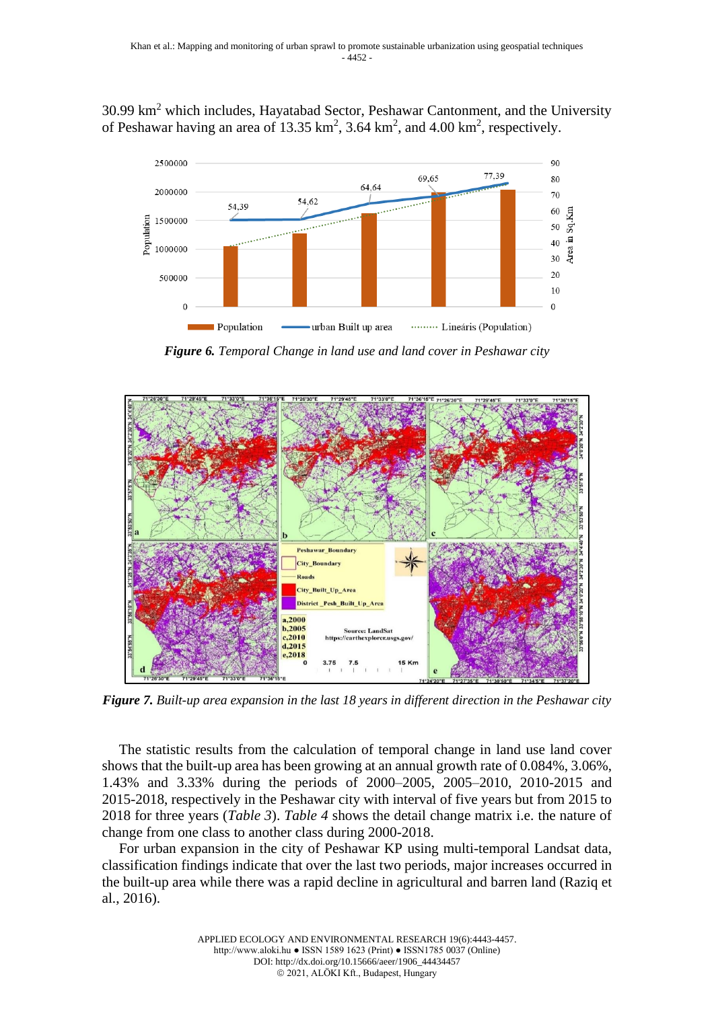30.99 km<sup>2</sup> which includes, Hayatabad Sector, Peshawar Cantonment, and the University of Peshawar having an area of 13.35  $\text{km}^2$ , 3.64  $\text{km}^2$ , and 4.00  $\text{km}^2$ , respectively.



*Figure 6. Temporal Change in land use and land cover in Peshawar city*



*Figure 7. Built-up area expansion in the last 18 years in different direction in the Peshawar city*

The statistic results from the calculation of temporal change in land use land cover shows that the built-up area has been growing at an annual growth rate of 0.084%, 3.06%, 1.43% and 3.33% during the periods of 2000–2005, 2005–2010, 2010-2015 and 2015-2018, respectively in the Peshawar city with interval of five years but from 2015 to 2018 for three years (*Table 3*). *Table 4* shows the detail change matrix i.e. the nature of change from one class to another class during 2000-2018.

For urban expansion in the city of Peshawar KP using multi-temporal Landsat data, classification findings indicate that over the last two periods, major increases occurred in the built-up area while there was a rapid decline in agricultural and barren land (Raziq et al., 2016).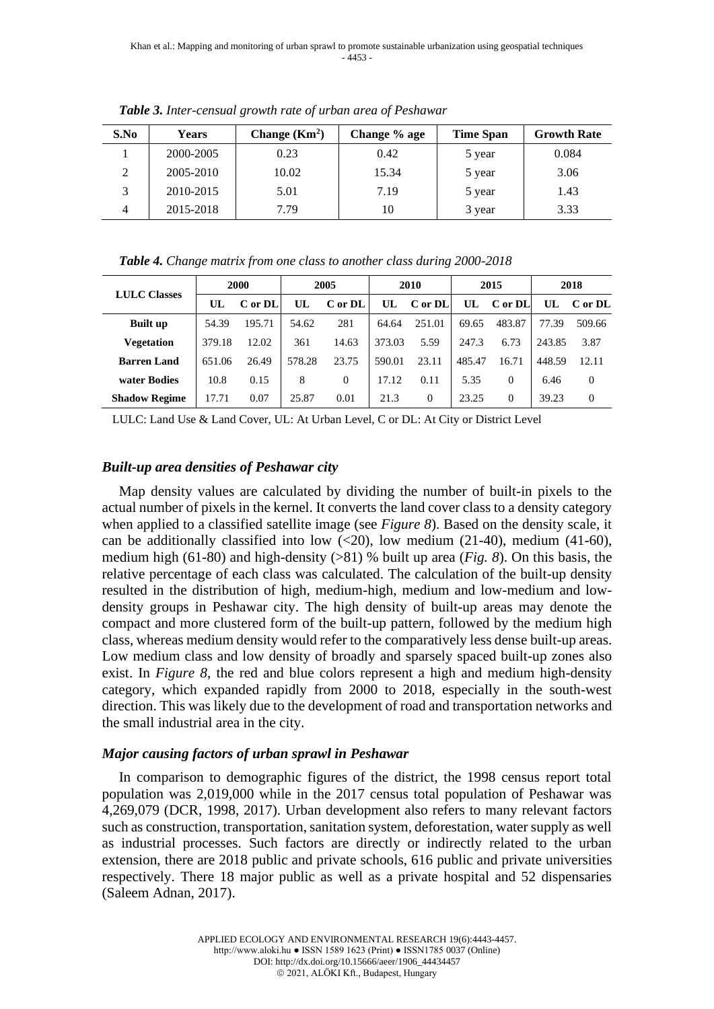| S.No | <b>Years</b> | Change $(Km2)$ | Change % age | <b>Time Span</b> | <b>Growth Rate</b> |  |
|------|--------------|----------------|--------------|------------------|--------------------|--|
|      | 2000-2005    | 0.23           | 0.42         | 5 year           | 0.084              |  |
| 2    | 2005-2010    | 10.02          | 15.34        | 5 year           | 3.06               |  |
| 3    | 2010-2015    | 5.01           | 7.19         | 5 year           | 1.43               |  |
| 4    | 2015-2018    | 7.79           | 10           | 3 year           | 3.33               |  |

*Table 3. Inter-censual growth rate of urban area of Peshawar*

| <b>LULC Classes</b>  | 2000   |         | 2005   |          | 2010   |          | 2015   |          | 2018   |          |
|----------------------|--------|---------|--------|----------|--------|----------|--------|----------|--------|----------|
|                      | UL     | C or DL | UL     | C or DL  | UL.    | C or DL  | UL     | C or DL  | UL.    | C or DL  |
| <b>Built up</b>      | 54.39  | 195.71  | 54.62  | 281      | 64.64  | 251.01   | 69.65  | 483.87   | 77.39  | 509.66   |
| Vegetation           | 379.18 | 12.02   | 361    | 14.63    | 373.03 | 5.59     | 247.3  | 6.73     | 243.85 | 3.87     |
| <b>Barren Land</b>   | 651.06 | 26.49   | 578.28 | 23.75    | 590.01 | 23.11    | 485.47 | 16.71    | 448.59 | 12.11    |
| water Bodies         | 10.8   | 0.15    | 8      | $\Omega$ | 17.12  | 0.11     | 5.35   | $\Omega$ | 6.46   | $\theta$ |
| <b>Shadow Regime</b> | 17.71  | 0.07    | 25.87  | 0.01     | 21.3   | $\Omega$ | 23.25  | $\Omega$ | 39.23  | $\Omega$ |

LULC: Land Use & Land Cover, UL: At Urban Level, C or DL: At City or District Level

# *Built-up area densities of Peshawar city*

Map density values are calculated by dividing the number of built-in pixels to the actual number of pixels in the kernel. It converts the land cover class to a density category when applied to a classified satellite image (see *Figure 8*). Based on the density scale, it can be additionally classified into low  $\langle 20 \rangle$ , low medium  $\langle 21-40 \rangle$ , medium  $\langle 41-60 \rangle$ , medium high (61-80) and high-density (>81) % built up area (*Fig. 8*). On this basis, the relative percentage of each class was calculated. The calculation of the built-up density resulted in the distribution of high, medium-high, medium and low-medium and lowdensity groups in Peshawar city. The high density of built-up areas may denote the compact and more clustered form of the built-up pattern, followed by the medium high class, whereas medium density would refer to the comparatively less dense built-up areas. Low medium class and low density of broadly and sparsely spaced built-up zones also exist. In *Figure 8*, the red and blue colors represent a high and medium high-density category, which expanded rapidly from 2000 to 2018, especially in the south-west direction. This was likely due to the development of road and transportation networks and the small industrial area in the city.

## *Major causing factors of urban sprawl in Peshawar*

In comparison to demographic figures of the district, the 1998 census report total population was 2,019,000 while in the 2017 census total population of Peshawar was 4,269,079 (DCR, 1998, 2017). Urban development also refers to many relevant factors such as construction, transportation, sanitation system, deforestation, water supply as well as industrial processes. Such factors are directly or indirectly related to the urban extension, there are 2018 public and private schools, 616 public and private universities respectively. There 18 major public as well as a private hospital and 52 dispensaries (Saleem Adnan, 2017).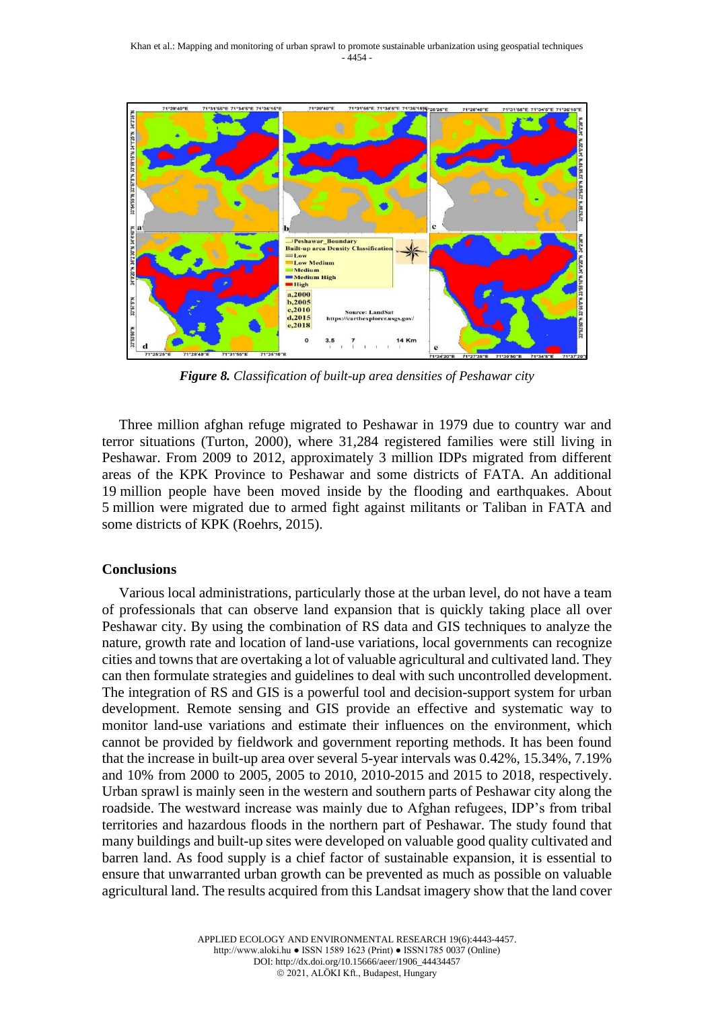

*Figure 8. Classification of built-up area densities of Peshawar city*

Three million afghan refuge migrated to Peshawar in 1979 due to country war and terror situations (Turton, 2000), where 31,284 registered families were still living in Peshawar. From 2009 to 2012, approximately 3 million IDPs migrated from different areas of the KPK Province to Peshawar and some districts of FATA. An additional 19 million people have been moved inside by the flooding and earthquakes. About 5 million were migrated due to armed fight against militants or Taliban in FATA and some districts of KPK (Roehrs, 2015).

### **Conclusions**

Various local administrations, particularly those at the urban level, do not have a team of professionals that can observe land expansion that is quickly taking place all over Peshawar city. By using the combination of RS data and GIS techniques to analyze the nature, growth rate and location of land-use variations, local governments can recognize cities and towns that are overtaking a lot of valuable agricultural and cultivated land. They can then formulate strategies and guidelines to deal with such uncontrolled development. The integration of RS and GIS is a powerful tool and decision-support system for urban development. Remote sensing and GIS provide an effective and systematic way to monitor land-use variations and estimate their influences on the environment, which cannot be provided by fieldwork and government reporting methods. It has been found that the increase in built-up area over several 5-year intervals was 0.42%, 15.34%, 7.19% and 10% from 2000 to 2005, 2005 to 2010, 2010-2015 and 2015 to 2018, respectively. Urban sprawl is mainly seen in the western and southern parts of Peshawar city along the roadside. The westward increase was mainly due to Afghan refugees, IDP's from tribal territories and hazardous floods in the northern part of Peshawar. The study found that many buildings and built-up sites were developed on valuable good quality cultivated and barren land. As food supply is a chief factor of sustainable expansion, it is essential to ensure that unwarranted urban growth can be prevented as much as possible on valuable agricultural land. The results acquired from this Landsat imagery show that the land cover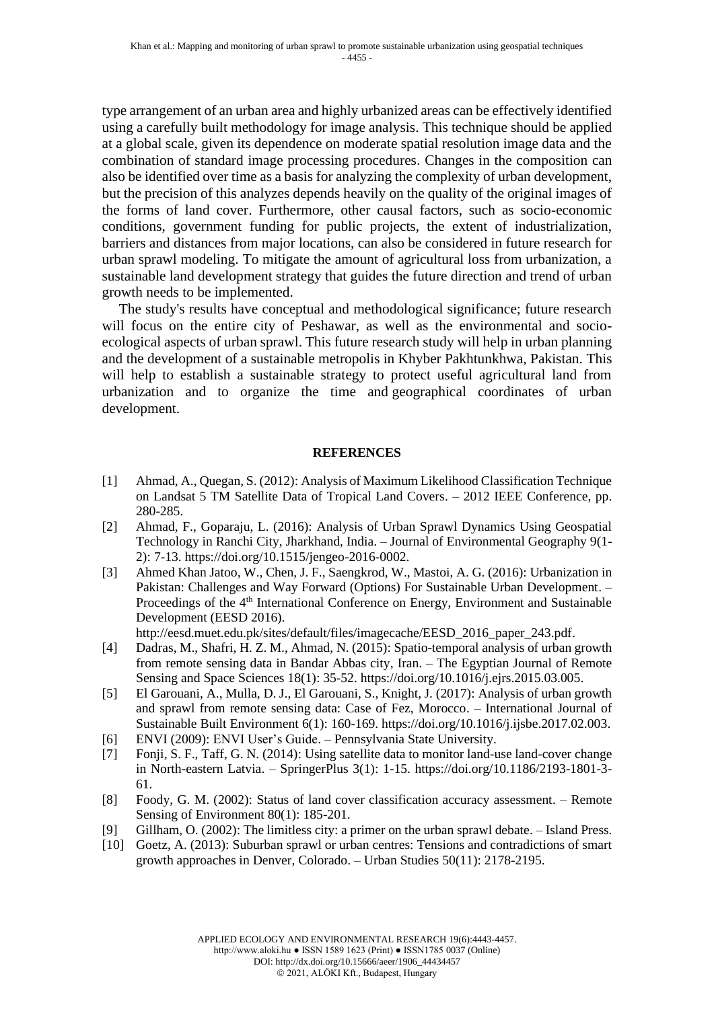type arrangement of an urban area and highly urbanized areas can be effectively identified using a carefully built methodology for image analysis. This technique should be applied at a global scale, given its dependence on moderate spatial resolution image data and the combination of standard image processing procedures. Changes in the composition can also be identified over time as a basis for analyzing the complexity of urban development, but the precision of this analyzes depends heavily on the quality of the original images of the forms of land cover. Furthermore, other causal factors, such as socio-economic conditions, government funding for public projects, the extent of industrialization, barriers and distances from major locations, can also be considered in future research for urban sprawl modeling. To mitigate the amount of agricultural loss from urbanization, a sustainable land development strategy that guides the future direction and trend of urban growth needs to be implemented.

The study's results have conceptual and methodological significance; future research will focus on the entire city of Peshawar, as well as the environmental and socioecological aspects of urban sprawl. This future research study will help in urban planning and the development of a sustainable metropolis in Khyber Pakhtunkhwa, Pakistan. This will help to establish a sustainable strategy to protect useful agricultural land from urbanization and to organize the time and geographical coordinates of urban development.

#### **REFERENCES**

- [1] Ahmad, A., Quegan, S. (2012): Analysis of Maximum Likelihood Classification Technique on Landsat 5 TM Satellite Data of Tropical Land Covers. – 2012 IEEE Conference, pp. 280-285.
- [2] Ahmad, F., Goparaju, L. (2016): Analysis of Urban Sprawl Dynamics Using Geospatial Technology in Ranchi City, Jharkhand, India. – Journal of Environmental Geography 9(1- 2): 7-13. https://doi.org/10.1515/jengeo-2016-0002.
- [3] Ahmed Khan Jatoo, W., Chen, J. F., Saengkrod, W., Mastoi, A. G. (2016): Urbanization in Pakistan: Challenges and Way Forward (Options) For Sustainable Urban Development. – Proceedings of the 4<sup>th</sup> International Conference on Energy, Environment and Sustainable Development (EESD 2016).

http://eesd.muet.edu.pk/sites/default/files/imagecache/EESD\_2016\_paper\_243.pdf.

- [4] Dadras, M., Shafri, H. Z. M., Ahmad, N. (2015): Spatio-temporal analysis of urban growth from remote sensing data in Bandar Abbas city, Iran. – The Egyptian Journal of Remote Sensing and Space Sciences 18(1): 35-52. https://doi.org/10.1016/j.ejrs.2015.03.005.
- [5] El Garouani, A., Mulla, D. J., El Garouani, S., Knight, J. (2017): Analysis of urban growth and sprawl from remote sensing data: Case of Fez, Morocco. – International Journal of Sustainable Built Environment 6(1): 160-169. https://doi.org/10.1016/j.ijsbe.2017.02.003.
- [6] ENVI (2009): ENVI User's Guide. Pennsylvania State University.
- [7] Fonji, S. F., Taff, G. N. (2014): Using satellite data to monitor land-use land-cover change in North-eastern Latvia. – SpringerPlus 3(1): 1-15. https://doi.org/10.1186/2193-1801-3- 61.
- [8] Foody, G. M. (2002): Status of land cover classification accuracy assessment. Remote Sensing of Environment 80(1): 185-201.
- [9] Gillham, O. (2002): The limitless city: a primer on the urban sprawl debate. Island Press.
- [10] Goetz, A. (2013): Suburban sprawl or urban centres: Tensions and contradictions of smart growth approaches in Denver, Colorado. – Urban Studies 50(11): 2178-2195.

http://www.aloki.hu ● ISSN 1589 1623 (Print) ● ISSN1785 0037 (Online) DOI: http://dx.doi.org/10.15666/aeer/1906\_44434457

© 2021, ALÖKI Kft., Budapest, Hungary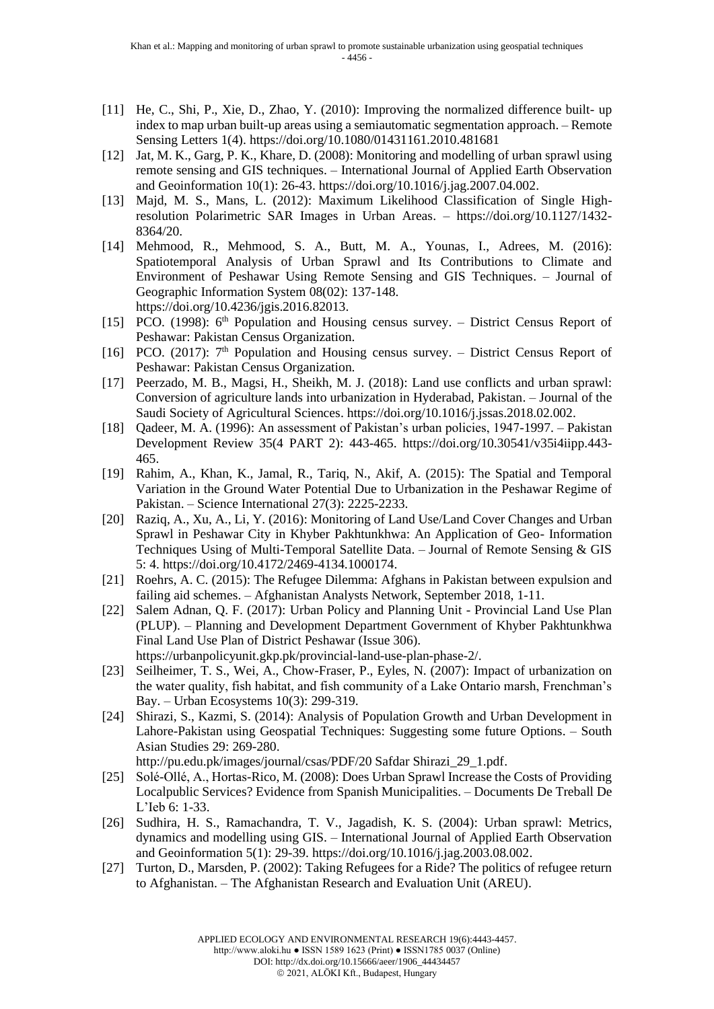- [11] He, C., Shi, P., Xie, D., Zhao, Y. (2010): Improving the normalized difference built- up index to map urban built-up areas using a semiautomatic segmentation approach. – Remote Sensing Letters 1(4). https://doi.org/10.1080/01431161.2010.481681
- [12] Jat, M. K., Garg, P. K., Khare, D. (2008): Monitoring and modelling of urban sprawl using remote sensing and GIS techniques. – International Journal of Applied Earth Observation and Geoinformation 10(1): 26-43. https://doi.org/10.1016/j.jag.2007.04.002.
- [13] Majd, M. S., Mans, L. (2012): Maximum Likelihood Classification of Single Highresolution Polarimetric SAR Images in Urban Areas. – https://doi.org/10.1127/1432- 8364/20.
- [14] Mehmood, R., Mehmood, S. A., Butt, M. A., Younas, I., Adrees, M. (2016): Spatiotemporal Analysis of Urban Sprawl and Its Contributions to Climate and Environment of Peshawar Using Remote Sensing and GIS Techniques. – Journal of Geographic Information System 08(02): 137-148. https://doi.org/10.4236/jgis.2016.82013.
- [15] PCO. (1998):  $6<sup>th</sup>$  Population and Housing census survey. District Census Report of Peshawar: Pakistan Census Organization.
- [16] PCO. (2017):  $7<sup>th</sup>$  Population and Housing census survey. District Census Report of Peshawar: Pakistan Census Organization.
- [17] Peerzado, M. B., Magsi, H., Sheikh, M. J. (2018): Land use conflicts and urban sprawl: Conversion of agriculture lands into urbanization in Hyderabad, Pakistan. – Journal of the Saudi Society of Agricultural Sciences. https://doi.org/10.1016/j.jssas.2018.02.002.
- [18] Qadeer, M. A. (1996): An assessment of Pakistan's urban policies, 1947-1997. Pakistan Development Review 35(4 PART 2): 443-465. https://doi.org/10.30541/v35i4iipp.443- 465.
- [19] Rahim, A., Khan, K., Jamal, R., Tariq, N., Akif, A. (2015): The Spatial and Temporal Variation in the Ground Water Potential Due to Urbanization in the Peshawar Regime of Pakistan. – Science International 27(3): 2225-2233.
- [20] Raziq, A., Xu, A., Li, Y. (2016): Monitoring of Land Use/Land Cover Changes and Urban Sprawl in Peshawar City in Khyber Pakhtunkhwa: An Application of Geo- Information Techniques Using of Multi-Temporal Satellite Data. – Journal of Remote Sensing & GIS 5: 4. https://doi.org/10.4172/2469-4134.1000174.
- [21] Roehrs, A. C. (2015): The Refugee Dilemma: Afghans in Pakistan between expulsion and failing aid schemes. – Afghanistan Analysts Network, September 2018, 1-11.
- [22] Salem Adnan, Q. F. (2017): Urban Policy and Planning Unit Provincial Land Use Plan (PLUP). – Planning and Development Department Government of Khyber Pakhtunkhwa Final Land Use Plan of District Peshawar (Issue 306). https://urbanpolicyunit.gkp.pk/provincial-land-use-plan-phase-2/.
- [23] Seilheimer, T. S., Wei, A., Chow-Fraser, P., Eyles, N. (2007): Impact of urbanization on the water quality, fish habitat, and fish community of a Lake Ontario marsh, Frenchman's Bay. – Urban Ecosystems 10(3): 299-319.
- [24] Shirazi, S., Kazmi, S. (2014): Analysis of Population Growth and Urban Development in Lahore-Pakistan using Geospatial Techniques: Suggesting some future Options. – South Asian Studies 29: 269-280.

http://pu.edu.pk/images/journal/csas/PDF/20 Safdar Shirazi\_29\_1.pdf.

- [25] Solé-Ollé, A., Hortas-Rico, M. (2008): Does Urban Sprawl Increase the Costs of Providing Localpublic Services? Evidence from Spanish Municipalities. – Documents De Treball De L'Ieb 6: 1-33.
- [26] Sudhira, H. S., Ramachandra, T. V., Jagadish, K. S. (2004): Urban sprawl: Metrics, dynamics and modelling using GIS. – International Journal of Applied Earth Observation and Geoinformation 5(1): 29-39. https://doi.org/10.1016/j.jag.2003.08.002.
- [27] Turton, D., Marsden, P. (2002): Taking Refugees for a Ride? The politics of refugee return to Afghanistan. – The Afghanistan Research and Evaluation Unit (AREU).

http://www.aloki.hu ● ISSN 1589 1623 (Print) ● ISSN1785 0037 (Online)

DOI: http://dx.doi.org/10.15666/aeer/1906\_44434457

© 2021, ALÖKI Kft., Budapest, Hungary